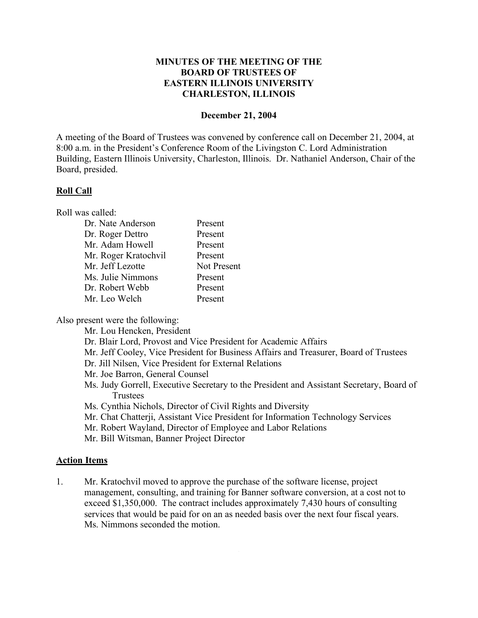### **MINUTES OF THE MEETING OF THE BOARD OF TRUSTEES OF EASTERN ILLINOIS UNIVERSITY CHARLESTON, ILLINOIS**

#### **December 21, 2004**

A meeting of the Board of Trustees was convened by conference call on December 21, 2004, at 8:00 a.m. in the President's Conference Room of the Livingston C. Lord Administration Building, Eastern Illinois University, Charleston, Illinois. Dr. Nathaniel Anderson, Chair of the Board, presided.

#### **Roll Call**

Roll was called:

| Dr. Nate Anderson    | Present            |
|----------------------|--------------------|
| Dr. Roger Dettro     | Present            |
| Mr. Adam Howell      | Present            |
| Mr. Roger Kratochvil | Present            |
| Mr. Jeff Lezotte     | <b>Not Present</b> |
| Ms. Julie Nimmons    | Present            |
| Dr. Robert Webb      | Present            |
| Mr. Leo Welch        | Present            |
|                      |                    |

Also present were the following:

Mr. Lou Hencken, President

- Dr. Blair Lord, Provost and Vice President for Academic Affairs
- Mr. Jeff Cooley, Vice President for Business Affairs and Treasurer, Board of Trustees
- Dr. Jill Nilsen, Vice President for External Relations
- Mr. Joe Barron, General Counsel
- Ms. Judy Gorrell, Executive Secretary to the President and Assistant Secretary, Board of Trustees
- Ms. Cynthia Nichols, Director of Civil Rights and Diversity
- Mr. Chat Chatterji, Assistant Vice President for Information Technology Services
- Mr. Robert Wayland, Director of Employee and Labor Relations
- Mr. Bill Witsman, Banner Project Director

#### **Action Items**

1. Mr. Kratochvil moved to approve the purchase of the software license, project management, consulting, and training for Banner software conversion, at a cost not to exceed \$1,350,000. The contract includes approximately 7,430 hours of consulting services that would be paid for on an as needed basis over the next four fiscal years. Ms. Nimmons seconded the motion.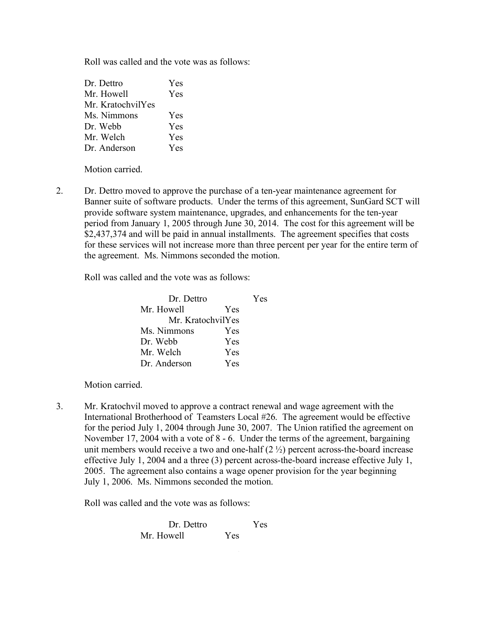Roll was called and the vote was as follows:

| Dr. Dettro        | <b>Yes</b> |
|-------------------|------------|
| Mr. Howell        | Yes        |
| Mr. KratochvilYes |            |
| Ms. Nimmons       | Yes        |
| Dr. Webb          | Yes        |
| Mr. Welch         | <b>Yes</b> |
| Dr. Anderson      | Yes        |

Motion carried.

2. Dr. Dettro moved to approve the purchase of a ten-year maintenance agreement for Banner suite of software products. Under the terms of this agreement, SunGard SCT will provide software system maintenance, upgrades, and enhancements for the ten-year period from January 1, 2005 through June 30, 2014. The cost for this agreement will be \$2,437,374 and will be paid in annual installments. The agreement specifies that costs for these services will not increase more than three percent per year for the entire term of the agreement. Ms. Nimmons seconded the motion.

Roll was called and the vote was as follows:

| Dr. Dettro        |            | Yes |
|-------------------|------------|-----|
| Mr. Howell        | <b>Yes</b> |     |
| Mr. KratochvilYes |            |     |
| Ms. Nimmons       | Yes        |     |
| Dr. Webb          | Yes        |     |
| Mr. Welch         | Yes        |     |
| Dr. Anderson      | Yes        |     |

Motion carried.

3. Mr. Kratochvil moved to approve a contract renewal and wage agreement with the International Brotherhood of Teamsters Local #26. The agreement would be effective for the period July 1, 2004 through June 30, 2007. The Union ratified the agreement on November 17, 2004 with a vote of 8 - 6. Under the terms of the agreement, bargaining unit members would receive a two and one-half  $(2 \frac{1}{2})$  percent across-the-board increase effective July 1, 2004 and a three (3) percent across-the-board increase effective July 1, 2005. The agreement also contains a wage opener provision for the year beginning July 1, 2006. Ms. Nimmons seconded the motion.

Roll was called and the vote was as follows:

Dr. Dettro Yes Mr. Howell Yes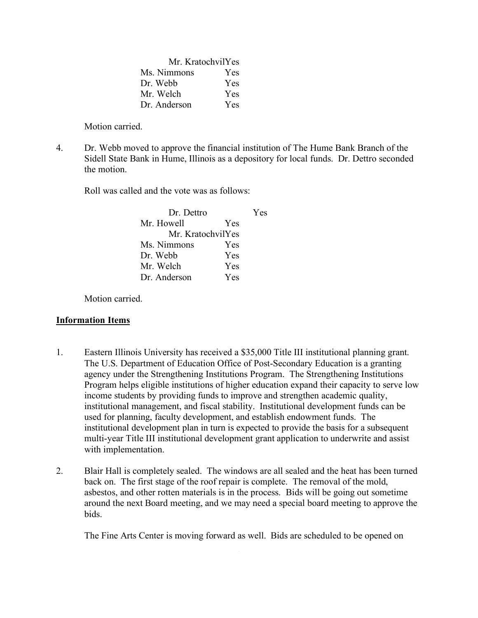| Mr. KratochvilYes |     |  |
|-------------------|-----|--|
| Ms. Nimmons       | Yes |  |
| Dr. Webb          | Yes |  |
| Mr. Welch         | Yes |  |
| Dr. Anderson      | Yes |  |

Motion carried.

4. Dr. Webb moved to approve the financial institution of The Hume Bank Branch of the Sidell State Bank in Hume, Illinois as a depository for local funds. Dr. Dettro seconded the motion.

Roll was called and the vote was as follows:

| Dr. Dettro       |            | Yes |
|------------------|------------|-----|
| Mr. Howell       | <b>Yes</b> |     |
| Mr KratochvilYes |            |     |
| Ms. Nimmons      | Yes        |     |
| Dr. Webb         | Yes        |     |
| Mr. Welch        | Yes        |     |
| Dr Anderson      | Yes        |     |

Motion carried.

## **Information Items**

- 1. Eastern Illinois University has received a \$35,000 Title III institutional planning grant. The U.S. Department of Education Office of Post-Secondary Education is a granting agency under the Strengthening Institutions Program. The Strengthening Institutions Program helps eligible institutions of higher education expand their capacity to serve low income students by providing funds to improve and strengthen academic quality, institutional management, and fiscal stability. Institutional development funds can be used for planning, faculty development, and establish endowment funds. The institutional development plan in turn is expected to provide the basis for a subsequent multi-year Title III institutional development grant application to underwrite and assist with implementation.
- 2. Blair Hall is completely sealed. The windows are all sealed and the heat has been turned back on. The first stage of the roof repair is complete. The removal of the mold, asbestos, and other rotten materials is in the process. Bids will be going out sometime around the next Board meeting, and we may need a special board meeting to approve the bids.

The Fine Arts Center is moving forward as well. Bids are scheduled to be opened on